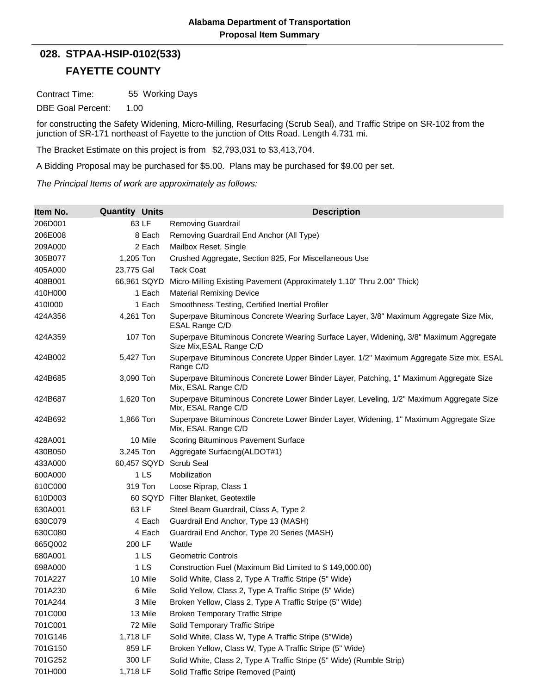## **FAYETTE COUNTY 028. STPAA-HSIP-0102(533)**

Contract Time: 55 Working Days

DBE Goal Percent: 1.00

for constructing the Safety Widening, Micro-Milling, Resurfacing (Scrub Seal), and Traffic Stripe on SR-102 from the junction of SR-171 northeast of Fayette to the junction of Otts Road. Length 4.731 mi.

The Bracket Estimate on this project is from \$2,793,031 to \$3,413,704.

A Bidding Proposal may be purchased for \$5.00. Plans may be purchased for \$9.00 per set.

*The Principal Items of work are approximately as follows:*

| Item No. | <b>Quantity Units</b> | <b>Description</b>                                                                                                |
|----------|-----------------------|-------------------------------------------------------------------------------------------------------------------|
| 206D001  | 63 LF                 | <b>Removing Guardrail</b>                                                                                         |
| 206E008  | 8 Each                | Removing Guardrail End Anchor (All Type)                                                                          |
| 209A000  | 2 Each                | Mailbox Reset, Single                                                                                             |
| 305B077  | 1,205 Ton             | Crushed Aggregate, Section 825, For Miscellaneous Use                                                             |
| 405A000  | 23,775 Gal            | <b>Tack Coat</b>                                                                                                  |
| 408B001  | 66,961 SQYD           | Micro-Milling Existing Pavement (Approximately 1.10" Thru 2.00" Thick)                                            |
| 410H000  | 1 Each                | <b>Material Remixing Device</b>                                                                                   |
| 4101000  | 1 Each                | Smoothness Testing, Certified Inertial Profiler                                                                   |
| 424A356  | 4,261 Ton             | Superpave Bituminous Concrete Wearing Surface Layer, 3/8" Maximum Aggregate Size Mix,<br>ESAL Range C/D           |
| 424A359  | <b>107 Ton</b>        | Superpave Bituminous Concrete Wearing Surface Layer, Widening, 3/8" Maximum Aggregate<br>Size Mix, ESAL Range C/D |
| 424B002  | 5,427 Ton             | Superpave Bituminous Concrete Upper Binder Layer, 1/2" Maximum Aggregate Size mix, ESAL<br>Range C/D              |
| 424B685  | 3,090 Ton             | Superpave Bituminous Concrete Lower Binder Layer, Patching, 1" Maximum Aggregate Size<br>Mix, ESAL Range C/D      |
| 424B687  | 1,620 Ton             | Superpave Bituminous Concrete Lower Binder Layer, Leveling, 1/2" Maximum Aggregate Size<br>Mix, ESAL Range C/D    |
| 424B692  | 1,866 Ton             | Superpave Bituminous Concrete Lower Binder Layer, Widening, 1" Maximum Aggregate Size<br>Mix, ESAL Range C/D      |
| 428A001  | 10 Mile               | Scoring Bituminous Pavement Surface                                                                               |
| 430B050  | 3,245 Ton             | Aggregate Surfacing(ALDOT#1)                                                                                      |
| 433A000  | 60,457 SQYD           | <b>Scrub Seal</b>                                                                                                 |
| 600A000  | 1 <sub>LS</sub>       | Mobilization                                                                                                      |
| 610C000  | 319 Ton               | Loose Riprap, Class 1                                                                                             |
| 610D003  | 60 SQYD               | Filter Blanket, Geotextile                                                                                        |
| 630A001  | 63 LF                 | Steel Beam Guardrail, Class A, Type 2                                                                             |
| 630C079  | 4 Each                | Guardrail End Anchor, Type 13 (MASH)                                                                              |
| 630C080  | 4 Each                | Guardrail End Anchor, Type 20 Series (MASH)                                                                       |
| 665Q002  | 200 LF                | Wattle                                                                                                            |
| 680A001  | 1 LS                  | <b>Geometric Controls</b>                                                                                         |
| 698A000  | 1 LS                  | Construction Fuel (Maximum Bid Limited to \$149,000.00)                                                           |
| 701A227  | 10 Mile               | Solid White, Class 2, Type A Traffic Stripe (5" Wide)                                                             |
| 701A230  | 6 Mile                | Solid Yellow, Class 2, Type A Traffic Stripe (5" Wide)                                                            |
| 701A244  | 3 Mile                | Broken Yellow, Class 2, Type A Traffic Stripe (5" Wide)                                                           |
| 701C000  | 13 Mile               | <b>Broken Temporary Traffic Stripe</b>                                                                            |
| 701C001  | 72 Mile               | Solid Temporary Traffic Stripe                                                                                    |
| 701G146  | 1,718 LF              | Solid White, Class W, Type A Traffic Stripe (5"Wide)                                                              |
| 701G150  | 859 LF                | Broken Yellow, Class W, Type A Traffic Stripe (5" Wide)                                                           |
| 701G252  | 300 LF                | Solid White, Class 2, Type A Traffic Stripe (5" Wide) (Rumble Strip)                                              |
| 701H000  | 1,718 LF              | Solid Traffic Stripe Removed (Paint)                                                                              |